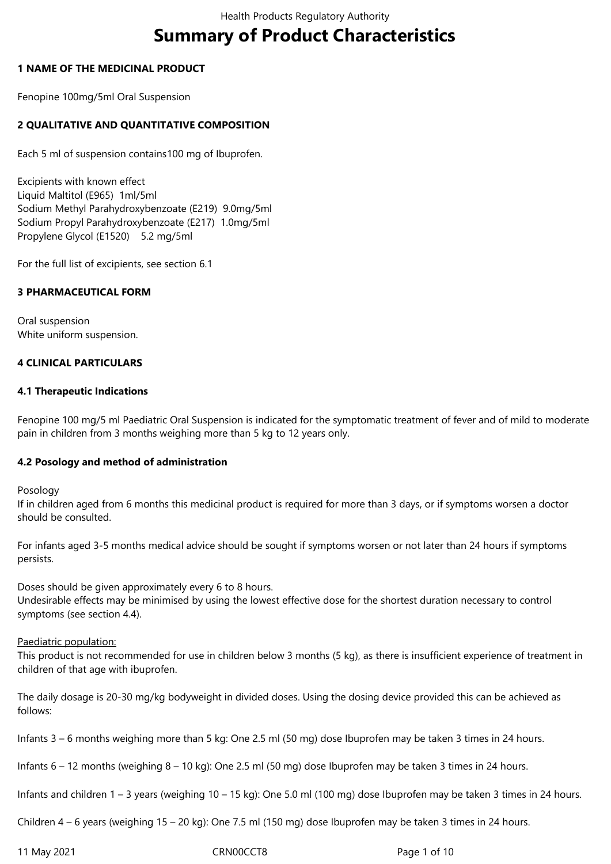# **Summary of Product Characteristics**

## **1 NAME OF THE MEDICINAL PRODUCT**

Fenopine 100mg/5ml Oral Suspension

## **2 QUALITATIVE AND QUANTITATIVE COMPOSITION**

Each 5 ml of suspension contains100 mg of Ibuprofen.

Excipients with known effect Liquid Maltitol (E965) 1ml/5ml Sodium Methyl Parahydroxybenzoate (E219) 9.0mg/5ml Sodium Propyl Parahydroxybenzoate (E217) 1.0mg/5ml Propylene Glycol (E1520) 5.2 mg/5ml

For the full list of excipients, see section 6.1

## **3 PHARMACEUTICAL FORM**

Oral suspension White uniform suspension.

## **4 CLINICAL PARTICULARS**

## **4.1 Therapeutic Indications**

Fenopine 100 mg/5 ml Paediatric Oral Suspension is indicated for the symptomatic treatment of fever and of mild to moderate pain in children from 3 months weighing more than 5 kg to 12 years only.

## **4.2 Posology and method of administration**

Posology

If in children aged from 6 months this medicinal product is required for more than 3 days, or if symptoms worsen a doctor should be consulted.

For infants aged 3-5 months medical advice should be sought if symptoms worsen or not later than 24 hours if symptoms persists.

Doses should be given approximately every 6 to 8 hours.

Undesirable effects may be minimised by using the lowest effective dose for the shortest duration necessary to control symptoms (see section 4.4).

## Paediatric population:

This product is not recommended for use in children below 3 months (5 kg), as there is insufficient experience of treatment in children of that age with ibuprofen.

The daily dosage is 20-30 mg/kg bodyweight in divided doses. Using the dosing device provided this can be achieved as follows:

Infants 3 – 6 months weighing more than 5 kg: One 2.5 ml (50 mg) dose Ibuprofen may be taken 3 times in 24 hours.

Infants 6 – 12 months (weighing 8 – 10 kg): One 2.5 ml (50 mg) dose Ibuprofen may be taken 3 times in 24 hours.

Infants and children 1 – 3 years (weighing 10 – 15 kg): One 5.0 ml (100 mg) dose Ibuprofen may be taken 3 times in 24 hours.

Children 4 – 6 years (weighing 15 – 20 kg): One 7.5 ml (150 mg) dose Ibuprofen may be taken 3 times in 24 hours.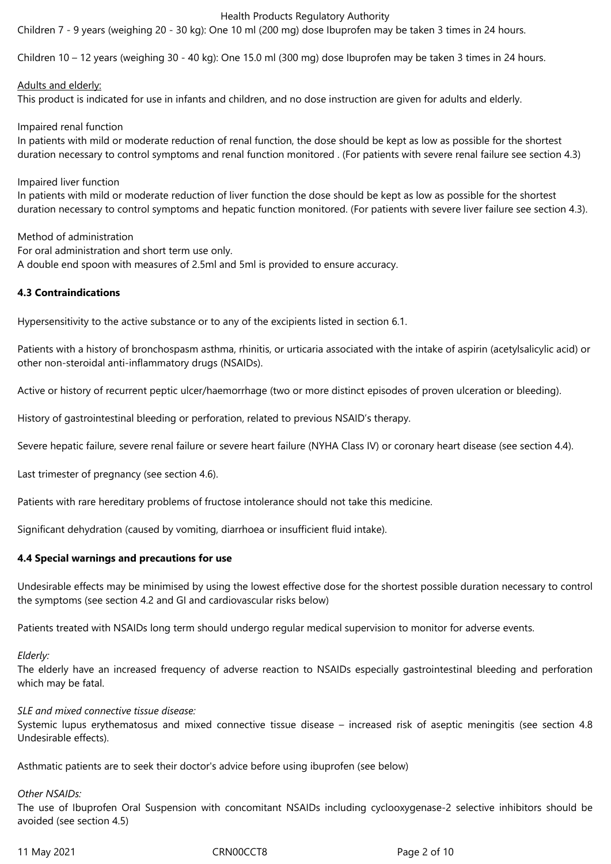Children 7 - 9 years (weighing 20 - 30 kg): One 10 ml (200 mg) dose Ibuprofen may be taken 3 times in 24 hours.

Children 10 – 12 years (weighing 30 - 40 kg): One 15.0 ml (300 mg) dose Ibuprofen may be taken 3 times in 24 hours.

Adults and elderly: This product is indicated for use in infants and children, and no dose instruction are given for adults and elderly.

Impaired renal function

In patients with mild or moderate reduction of renal function, the dose should be kept as low as possible for the shortest duration necessary to control symptoms and renal function monitored . (For patients with severe renal failure see section 4.3)

Impaired liver function

In patients with mild or moderate reduction of liver function the dose should be kept as low as possible for the shortest duration necessary to control symptoms and hepatic function monitored. (For patients with severe liver failure see section 4.3).

Method of administration

For oral administration and short term use only.

A double end spoon with measures of 2.5ml and 5ml is provided to ensure accuracy.

## **4.3 Contraindications**

Hypersensitivity to the active substance or to any of the excipients listed in section 6.1.

Patients with a history of bronchospasm asthma, rhinitis, or urticaria associated with the intake of aspirin (acetylsalicylic acid) or other non-steroidal anti-inflammatory drugs (NSAIDs).

Active or history of recurrent peptic ulcer/haemorrhage (two or more distinct episodes of proven ulceration or bleeding).

History of gastrointestinal bleeding or perforation, related to previous NSAID's therapy.

Severe hepatic failure, severe renal failure or severe heart failure (NYHA Class IV) or coronary heart disease (see section 4.4).

Last trimester of pregnancy (see section 4.6).

Patients with rare hereditary problems of fructose intolerance should not take this medicine.

Significant dehydration (caused by vomiting, diarrhoea or insufficient fluid intake).

## **4.4 Special warnings and precautions for use**

Undesirable effects may be minimised by using the lowest effective dose for the shortest possible duration necessary to control the symptoms (see section 4.2 and GI and cardiovascular risks below)

Patients treated with NSAIDs long term should undergo regular medical supervision to monitor for adverse events.

*Elderly:*

The elderly have an increased frequency of adverse reaction to NSAIDs especially gastrointestinal bleeding and perforation which may be fatal.

#### *SLE and mixed connective tissue disease:*

Systemic lupus erythematosus and mixed connective tissue disease – increased risk of aseptic meningitis (see section 4.8 Undesirable effects).

Asthmatic patients are to seek their doctor's advice before using ibuprofen (see below)

#### *Other NSAIDs:*

The use of Ibuprofen Oral Suspension with concomitant NSAIDs including cyclooxygenase-2 selective inhibitors should be avoided (see section 4.5)

11 May 2021 **CRNOOCCT8** CRNOOCCT8 Page 2 of 10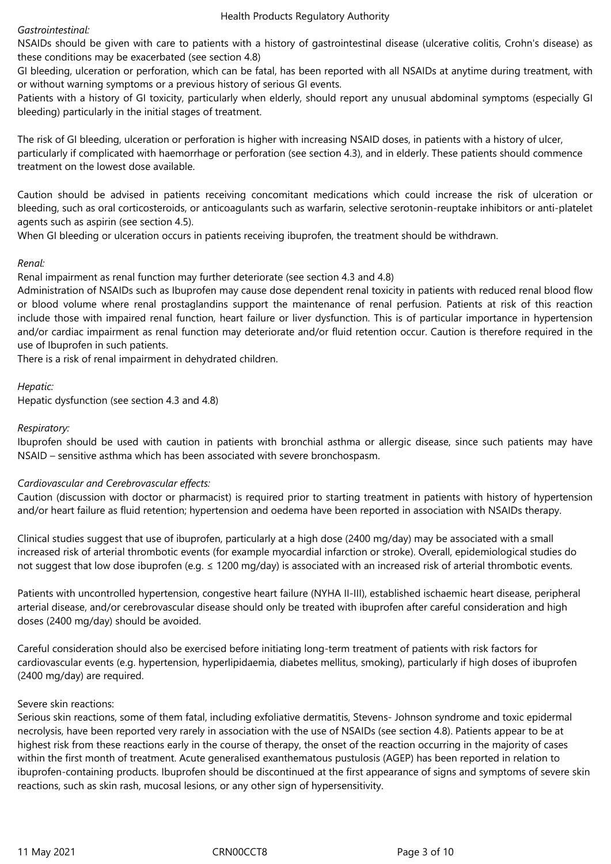## *Gastrointestinal:*

NSAIDs should be given with care to patients with a history of gastrointestinal disease (ulcerative colitis, Crohn's disease) as these conditions may be exacerbated (see section 4.8)

GI bleeding, ulceration or perforation, which can be fatal, has been reported with all NSAIDs at anytime during treatment, with or without warning symptoms or a previous history of serious GI events.

Patients with a history of GI toxicity, particularly when elderly, should report any unusual abdominal symptoms (especially GI bleeding) particularly in the initial stages of treatment.

The risk of GI bleeding, ulceration or perforation is higher with increasing NSAID doses, in patients with a history of ulcer, particularly if complicated with haemorrhage or perforation (see section 4.3), and in elderly. These patients should commence treatment on the lowest dose available.

Caution should be advised in patients receiving concomitant medications which could increase the risk of ulceration or bleeding, such as oral corticosteroids, or anticoagulants such as warfarin, selective serotonin-reuptake inhibitors or anti-platelet agents such as aspirin (see section 4.5).

When GI bleeding or ulceration occurs in patients receiving ibuprofen, the treatment should be withdrawn.

## *Renal:*

Renal impairment as renal function may further deteriorate (see section 4.3 and 4.8)

Administration of NSAIDs such as Ibuprofen may cause dose dependent renal toxicity in patients with reduced renal blood flow or blood volume where renal prostaglandins support the maintenance of renal perfusion. Patients at risk of this reaction include those with impaired renal function, heart failure or liver dysfunction. This is of particular importance in hypertension and/or cardiac impairment as renal function may deteriorate and/or fluid retention occur. Caution is therefore required in the use of Ibuprofen in such patients.

There is a risk of renal impairment in dehydrated children.

## *Hepatic:*

Hepatic dysfunction (see section 4.3 and 4.8)

## *Respiratory:*

Ibuprofen should be used with caution in patients with bronchial asthma or allergic disease, since such patients may have NSAID – sensitive asthma which has been associated with severe bronchospasm.

## *Cardiovascular and Cerebrovascular effects:*

Caution (discussion with doctor or pharmacist) is required prior to starting treatment in patients with history of hypertension and/or heart failure as fluid retention; hypertension and oedema have been reported in association with NSAIDs therapy.

Clinical studies suggest that use of ibuprofen, particularly at a high dose (2400 mg/day) may be associated with a small increased risk of arterial thrombotic events (for example myocardial infarction or stroke). Overall, epidemiological studies do not suggest that low dose ibuprofen (e.g. ≤ 1200 mg/day) is associated with an increased risk of arterial thrombotic events.

Patients with uncontrolled hypertension, congestive heart failure (NYHA II-III), established ischaemic heart disease, peripheral arterial disease, and/or cerebrovascular disease should only be treated with ibuprofen after careful consideration and high doses (2400 mg/day) should be avoided.

Careful consideration should also be exercised before initiating long-term treatment of patients with risk factors for cardiovascular events (e.g. hypertension, hyperlipidaemia, diabetes mellitus, smoking), particularly if high doses of ibuprofen (2400 mg/day) are required.

## Severe skin reactions:

Serious skin reactions, some of them fatal, including exfoliative dermatitis, Stevens- Johnson syndrome and toxic epidermal necrolysis, have been reported very rarely in association with the use of NSAIDs (see section 4.8). Patients appear to be at highest risk from these reactions early in the course of therapy, the onset of the reaction occurring in the majority of cases within the first month of treatment. Acute generalised exanthematous pustulosis (AGEP) has been reported in relation to ibuprofen-containing products. Ibuprofen should be discontinued at the first appearance of signs and symptoms of severe skin reactions, such as skin rash, mucosal lesions, or any other sign of hypersensitivity.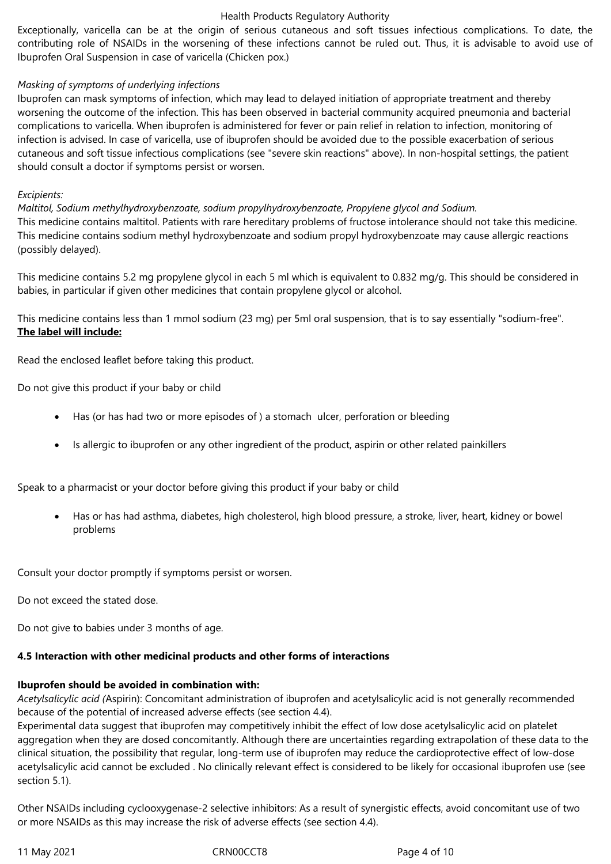Exceptionally, varicella can be at the origin of serious cutaneous and soft tissues infectious complications. To date, the contributing role of NSAIDs in the worsening of these infections cannot be ruled out. Thus, it is advisable to avoid use of Ibuprofen Oral Suspension in case of varicella (Chicken pox.)

## *Masking of symptoms of underlying infections*

Ibuprofen can mask symptoms of infection, which may lead to delayed initiation of appropriate treatment and thereby worsening the outcome of the infection. This has been observed in bacterial community acquired pneumonia and bacterial complications to varicella. When ibuprofen is administered for fever or pain relief in relation to infection, monitoring of infection is advised. In case of varicella, use of ibuprofen should be avoided due to the possible exacerbation of serious cutaneous and soft tissue infectious complications (see "severe skin reactions" above). In non-hospital settings, the patient should consult a doctor if symptoms persist or worsen.

## *Excipients:*

*Maltitol, Sodium methylhydroxybenzoate, sodium propylhydroxybenzoate, Propylene glycol and Sodium.* This medicine contains maltitol. Patients with rare hereditary problems of fructose intolerance should not take this medicine. This medicine contains sodium methyl hydroxybenzoate and sodium propyl hydroxybenzoate may cause allergic reactions (possibly delayed).

This medicine contains 5.2 mg propylene glycol in each 5 ml which is equivalent to 0.832 mg/g. This should be considered in babies, in particular if given other medicines that contain propylene glycol or alcohol.

This medicine contains less than 1 mmol sodium (23 mg) per 5ml oral suspension, that is to say essentially "sodium-free". **The label will include:**

Read the enclosed leaflet before taking this product.

Do not give this product if your baby or child

- Has (or has had two or more episodes of ) a stomach ulcer, perforation or bleeding
- Is allergic to ibuprofen or any other ingredient of the product, aspirin or other related painkillers

Speak to a pharmacist or your doctor before giving this product if your baby or child

 Has or has had asthma, diabetes, high cholesterol, high blood pressure, a stroke, liver, heart, kidney or bowel problems

Consult your doctor promptly if symptoms persist or worsen.

Do not exceed the stated dose.

Do not give to babies under 3 months of age.

## **4.5 Interaction with other medicinal products and other forms of interactions**

## **Ibuprofen should be avoided in combination with:**

*Acetylsalicylic acid (*Aspirin): Concomitant administration of ibuprofen and acetylsalicylic acid is not generally recommended because of the potential of increased adverse effects (see section 4.4).

Experimental data suggest that ibuprofen may competitively inhibit the effect of low dose acetylsalicylic acid on platelet aggregation when they are dosed concomitantly. Although there are uncertainties regarding extrapolation of these data to the clinical situation, the possibility that regular, long-term use of ibuprofen may reduce the cardioprotective effect of low-dose acetylsalicylic acid cannot be excluded . No clinically relevant effect is considered to be likely for occasional ibuprofen use (see section 5.1).

Other NSAIDs including cyclooxygenase-2 selective inhibitors: As a result of synergistic effects, avoid concomitant use of two or more NSAIDs as this may increase the risk of adverse effects (see section 4.4).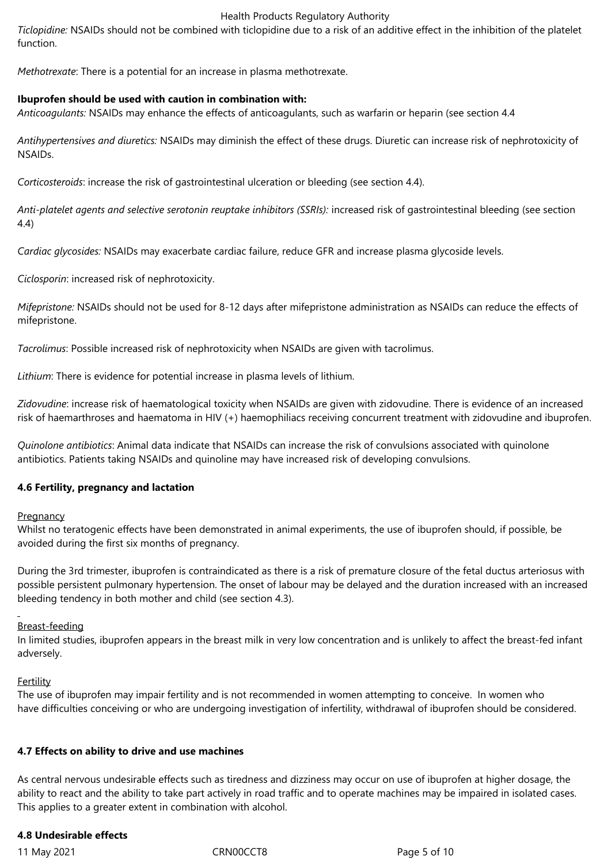*Ticlopidine:* NSAIDs should not be combined with ticlopidine due to a risk of an additive effect in the inhibition of the platelet function.

*Methotrexate*: There is a potential for an increase in plasma methotrexate.

## **Ibuprofen should be used with caution in combination with:**

*Anticoagulants:* NSAIDs may enhance the effects of anticoagulants, such as warfarin or heparin (see section 4.4

*Antihypertensives and diuretics:* NSAIDs may diminish the effect of these drugs. Diuretic can increase risk of nephrotoxicity of NSAIDs.

*Corticosteroids*: increase the risk of gastrointestinal ulceration or bleeding (see section 4.4).

*Anti-platelet agents and selective serotonin reuptake inhibitors (SSRIs):* increased risk of gastrointestinal bleeding (see section 4.4)

*Cardiac glycosides:* NSAIDs may exacerbate cardiac failure, reduce GFR and increase plasma glycoside levels.

*Ciclosporin*: increased risk of nephrotoxicity.

*Mifepristone:* NSAIDs should not be used for 8-12 days after mifepristone administration as NSAIDs can reduce the effects of mifepristone.

*Tacrolimus*: Possible increased risk of nephrotoxicity when NSAIDs are given with tacrolimus.

*Lithium*: There is evidence for potential increase in plasma levels of lithium.

*Zidovudine*: increase risk of haematological toxicity when NSAIDs are given with zidovudine. There is evidence of an increased risk of haemarthroses and haematoma in HIV (+) haemophiliacs receiving concurrent treatment with zidovudine and ibuprofen.

*Quinolone antibiotics*: Animal data indicate that NSAIDs can increase the risk of convulsions associated with quinolone antibiotics. Patients taking NSAIDs and quinoline may have increased risk of developing convulsions.

## **4.6 Fertility, pregnancy and lactation**

## **Pregnancy**

Whilst no teratogenic effects have been demonstrated in animal experiments, the use of ibuprofen should, if possible, be avoided during the first six months of pregnancy.

During the 3rd trimester, ibuprofen is contraindicated as there is a risk of premature closure of the fetal ductus arteriosus with possible persistent pulmonary hypertension. The onset of labour may be delayed and the duration increased with an increased bleeding tendency in both mother and child (see section 4.3).

## Breast-feeding

In limited studies, ibuprofen appears in the breast milk in very low concentration and is unlikely to affect the breast-fed infant adversely.

## Fertility

The use of ibuprofen may impair fertility and is not recommended in women attempting to conceive. In women who have difficulties conceiving or who are undergoing investigation of infertility, withdrawal of ibuprofen should be considered.

## **4.7 Effects on ability to drive and use machines**

As central nervous undesirable effects such as tiredness and dizziness may occur on use of ibuprofen at higher dosage, the ability to react and the ability to take part actively in road traffic and to operate machines may be impaired in isolated cases. This applies to a greater extent in combination with alcohol.

## **4.8 Undesirable effects**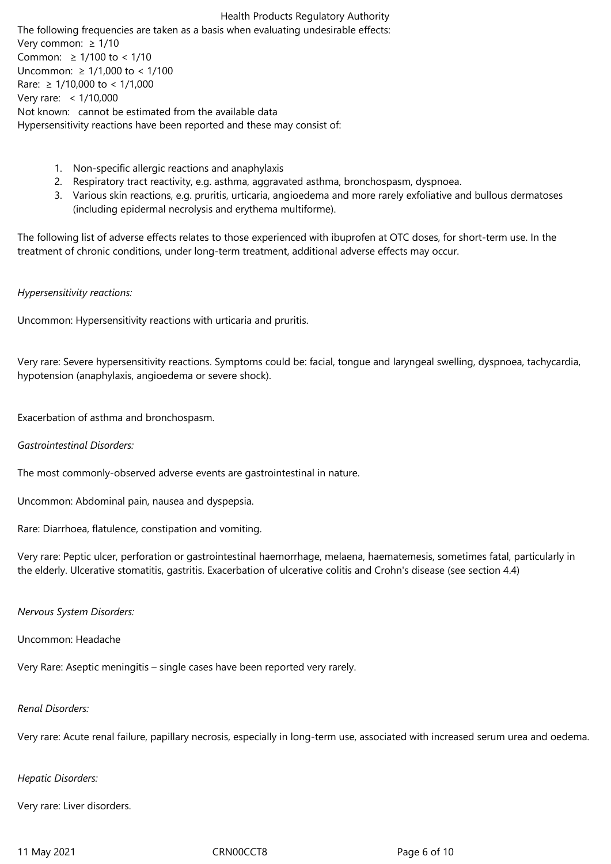The following frequencies are taken as a basis when evaluating undesirable effects: Very common:  $\geq 1/10$ Common: ≥ 1/100 to < 1/10 Uncommon: ≥ 1/1,000 to < 1/100 Rare: ≥ 1/10,000 to < 1/1,000 Very rare: < 1/10,000 Not known: cannot be estimated from the available data Hypersensitivity reactions have been reported and these may consist of:

- 1. Non-specific allergic reactions and anaphylaxis
- 2. Respiratory tract reactivity, e.g. asthma, aggravated asthma, bronchospasm, dyspnoea.
- 3. Various skin reactions, e.g. pruritis, urticaria, angioedema and more rarely exfoliative and bullous dermatoses (including epidermal necrolysis and erythema multiforme).

The following list of adverse effects relates to those experienced with ibuprofen at OTC doses, for short-term use. In the treatment of chronic conditions, under long-term treatment, additional adverse effects may occur.

### *Hypersensitivity reactions:*

Uncommon: Hypersensitivity reactions with urticaria and pruritis.

Very rare: Severe hypersensitivity reactions. Symptoms could be: facial, tongue and laryngeal swelling, dyspnoea, tachycardia, hypotension (anaphylaxis, angioedema or severe shock).

Exacerbation of asthma and bronchospasm.

#### *Gastrointestinal Disorders:*

The most commonly-observed adverse events are gastrointestinal in nature.

Uncommon: Abdominal pain, nausea and dyspepsia.

Rare: Diarrhoea, flatulence, constipation and vomiting.

Very rare: Peptic ulcer, perforation or gastrointestinal haemorrhage, melaena, haematemesis, sometimes fatal, particularly in the elderly. Ulcerative stomatitis, gastritis. Exacerbation of ulcerative colitis and Crohn's disease (see section 4.4)

#### *Nervous System Disorders:*

Uncommon: Headache

Very Rare: Aseptic meningitis – single cases have been reported very rarely.

#### *Renal Disorders:*

Very rare: Acute renal failure, papillary necrosis, especially in long-term use, associated with increased serum urea and oedema.

## *Hepatic Disorders:*

Very rare: Liver disorders.

11 May 2021 **CRNOOCCT8** CRNOOCCT8 Page 6 of 10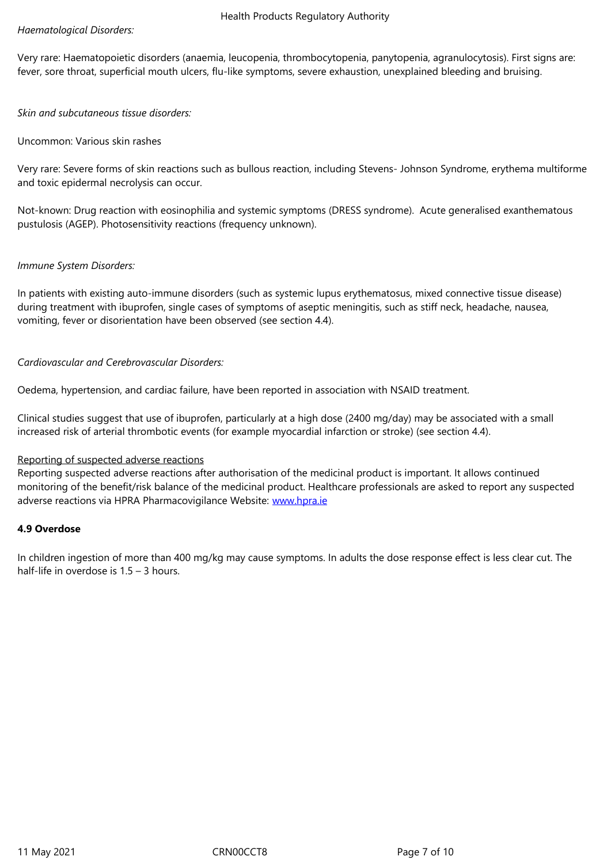Very rare: Haematopoietic disorders (anaemia, leucopenia, thrombocytopenia, panytopenia, agranulocytosis). First signs are: fever, sore throat, superficial mouth ulcers, flu-like symptoms, severe exhaustion, unexplained bleeding and bruising.

## *Skin and subcutaneous tissue disorders:*

## Uncommon: Various skin rashes

Very rare: Severe forms of skin reactions such as bullous reaction, including Stevens- Johnson Syndrome, erythema multiforme and toxic epidermal necrolysis can occur.

Not-known: Drug reaction with eosinophilia and systemic symptoms (DRESS syndrome). Acute generalised exanthematous pustulosis (AGEP). Photosensitivity reactions (frequency unknown).

## *Immune System Disorders:*

In patients with existing auto-immune disorders (such as systemic lupus erythematosus, mixed connective tissue disease) during treatment with ibuprofen, single cases of symptoms of aseptic meningitis, such as stiff neck, headache, nausea, vomiting, fever or disorientation have been observed (see section 4.4).

## *Cardiovascular and Cerebrovascular Disorders:*

Oedema, hypertension, and cardiac failure, have been reported in association with NSAID treatment.

Clinical studies suggest that use of ibuprofen, particularly at a high dose (2400 mg/day) may be associated with a small increased risk of arterial thrombotic events (for example myocardial infarction or stroke) (see section 4.4).

## Reporting of suspected adverse reactions

Reporting suspected adverse reactions after authorisation of the medicinal product is important. It allows continued monitoring of the benefit/risk balance of the medicinal product. Healthcare professionals are asked to report any suspected adverse reactions via HPRA Pharmacovigilance Website: www.hpra.ie

## **4.9 Overdose**

In children ingestion of more than 400 mg/kg may caus[e symptoms.](http://www.hpra.ie/) In adults the dose response effect is less clear cut. The half-life in overdose is 1.5 – 3 hours.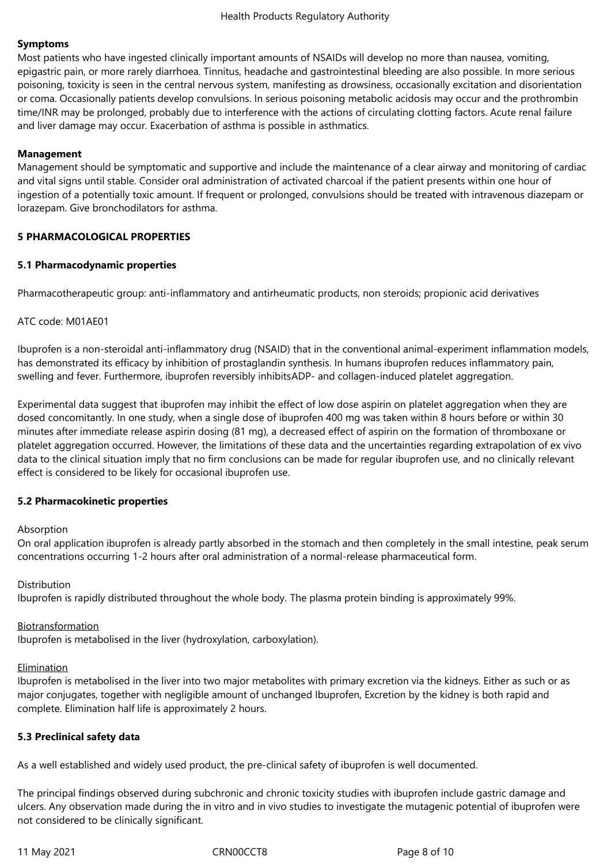## **Symptoms**

Most patients who have ingested clinically important amounts of NSAIDs will develop no more than nausea, vomiting, epigastric pain, or more rarely diarrhoea. Tinnitus, headache and gastrointestinal bleeding are also possible. In more serious poisoning, toxicity is seen in the central nervous system, manifesting as drowsiness, occasionally excitation and disorientation or coma. Occasionally patients develop convulsions. In serious poisoning metabolic acidosis may occur and the prothrombin time/INR may be prolonged, probably due to interference with the actions of circulating clotting factors. Acute renal failure and liver damage may occur. Exacerbation of asthma is possible in asthmatics.

## **Management**

Management should be symptomatic and supportive and include the maintenance of a clear airway and monitoring of cardiac and vital signs until stable. Consider oral administration of activated charcoal if the patient presents within one hour of ingestion of a potentially toxic amount. If frequent or prolonged, convulsions should be treated with intravenous diazepam or lorazepam. Give bronchodilators for asthma.

## **5 PHARMACOLOGICAL PROPERTIES**

## **5.1 Pharmacodynamic properties**

Pharmacotherapeutic group: anti-inflammatory and antirheumatic products, non steroids; propionic acid derivatives

## ATC code: M01AE01

Ibuprofen is a non-steroidal anti-inflammatory drug (NSAID) that in the conventional animal-experiment inflammation models, has demonstrated its efficacy by inhibition of prostaglandin synthesis. In humans ibuprofen reduces inflammatory pain, swelling and fever. Furthermore, ibuprofen reversibly inhibitsADP- and collagen-induced platelet aggregation.

Experimental data suggest that ibuprofen may inhibit the effect of low dose aspirin on platelet aggregation when they are dosed concomitantly. In one study, when a single dose of ibuprofen 400 mg was taken within 8 hours before or within 30 minutes after immediate release aspirin dosing (81 mg), a decreased effect of aspirin on the formation of thromboxane or platelet aggregation occurred. However, the limitations of these data and the uncertainties regarding extrapolation of ex vivo data to the clinical situation imply that no firm conclusions can be made for regular ibuprofen use, and no clinically relevant effect is considered to be likely for occasional ibuprofen use.

## **5.2 Pharmacokinetic properties**

## Absorption

On oral application ibuprofen is already partly absorbed in the stomach and then completely in the small intestine, peak serum concentrations occurring 1‑2 hours after oral administration of a normal-release pharmaceutical form.

## Distribution

Ibuprofen is rapidly distributed throughout the whole body. The plasma protein binding is approximately 99%.

## Biotransformation

Ibuprofen is metabolised in the liver (hydroxylation, carboxylation).

## **Elimination**

Ibuprofen is metabolised in the liver into two major metabolites with primary excretion via the kidneys. Either as such or as major conjugates, together with negligible amount of unchanged Ibuprofen, Excretion by the kidney is both rapid and complete. Elimination half life is approximately 2 hours.

## **5.3 Preclinical safety data**

As a well established and widely used product, the pre-clinical safety of ibuprofen is well documented.

The principal findings observed during subchronic and chronic toxicity studies with ibuprofen include gastric damage and ulcers. Any observation made during the in vitro and in vivo studies to investigate the mutagenic potential of ibuprofen were not considered to be clinically significant.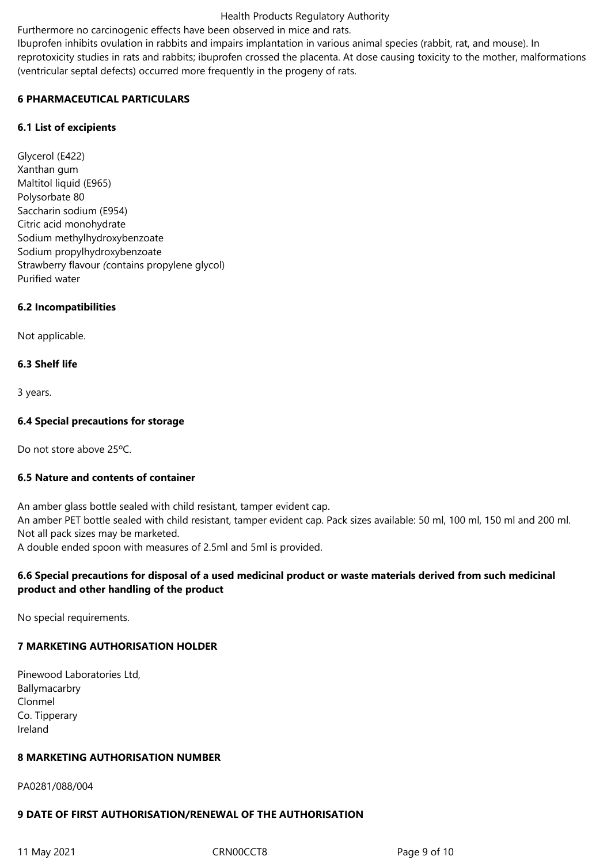Furthermore no carcinogenic effects have been observed in mice and rats.

Ibuprofen inhibits ovulation in rabbits and impairs implantation in various animal species (rabbit, rat, and mouse). In reprotoxicity studies in rats and rabbits; ibuprofen crossed the placenta. At dose causing toxicity to the mother, malformations (ventricular septal defects) occurred more frequently in the progeny of rats.

## **6 PHARMACEUTICAL PARTICULARS**

## **6.1 List of excipients**

Glycerol (E422) Xanthan gum Maltitol liquid (E965) Polysorbate 80 Saccharin sodium (E954) Citric acid monohydrate Sodium methylhydroxybenzoate Sodium propylhydroxybenzoate Strawberry flavour *(*contains propylene glycol) Purified water

## **6.2 Incompatibilities**

Not applicable.

## **6.3 Shelf life**

3 years.

## **6.4 Special precautions for storage**

Do not store above 25ºC.

## **6.5 Nature and contents of container**

An amber glass bottle sealed with child resistant, tamper evident cap. An amber PET bottle sealed with child resistant, tamper evident cap. Pack sizes available: 50 ml, 100 ml, 150 ml and 200 ml. Not all pack sizes may be marketed. A double ended spoon with measures of 2.5ml and 5ml is provided.

## **6.6 Special precautions for disposal of a used medicinal product or waste materials derived from such medicinal product and other handling of the product**

No special requirements.

## **7 MARKETING AUTHORISATION HOLDER**

Pinewood Laboratories Ltd, Ballymacarbry Clonmel Co. Tipperary Ireland

## **8 MARKETING AUTHORISATION NUMBER**

PA0281/088/004

## **9 DATE OF FIRST AUTHORISATION/RENEWAL OF THE AUTHORISATION**